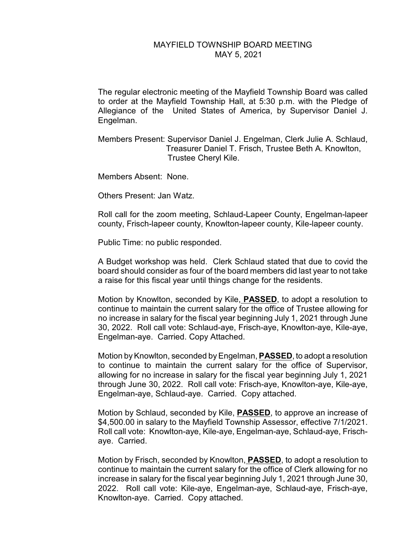## MAYFIELD TOWNSHIP BOARD MEETING MAY 5, 2021

The regular electronic meeting of the Mayfield Township Board was called to order at the Mayfield Township Hall, at 5:30 p.m. with the Pledge of Allegiance of the United States of America, by Supervisor Daniel J. Engelman.

Members Present: Supervisor Daniel J. Engelman, Clerk Julie A. Schlaud, Treasurer Daniel T. Frisch, Trustee Beth A. Knowlton, Trustee Cheryl Kile.

Members Absent: None.

Others Present: Jan Watz.

Roll call for the zoom meeting, Schlaud-Lapeer County, Engelman-lapeer county, Frisch-lapeer county, Knowlton-lapeer county, Kile-lapeer county.

Public Time: no public responded.

A Budget workshop was held. Clerk Schlaud stated that due to covid the board should consider as four of the board members did last year to not take a raise for this fiscal year until things change for the residents.

Motion by Knowlton, seconded by Kile, **PASSED**, to adopt a resolution to continue to maintain the current salary for the office of Trustee allowing for no increase in salary for the fiscal year beginning July 1, 2021 through June 30, 2022. Roll call vote: Schlaud-aye, Frisch-aye, Knowlton-aye, Kile-aye, Engelman-aye. Carried. Copy Attached.

Motion by Knowlton, seconded by Engelman,**PASSED**, to adopt a resolution to continue to maintain the current salary for the office of Supervisor, allowing for no increase in salary for the fiscal year beginning July 1, 2021 through June 30, 2022. Roll call vote: Frisch-aye, Knowlton-aye, Kile-aye, Engelman-aye, Schlaud-aye. Carried. Copy attached.

Motion by Schlaud, seconded by Kile, **PASSED**, to approve an increase of \$4,500.00 in salary to the Mayfield Township Assessor, effective 7/1/2021. Roll call vote: Knowlton-aye, Kile-aye, Engelman-aye, Schlaud-aye, Frischaye. Carried.

Motion by Frisch, seconded by Knowlton, **PASSED**, to adopt a resolution to continue to maintain the current salary for the office of Clerk allowing for no increase in salary for the fiscal year beginning July 1, 2021 through June 30, 2022. Roll call vote: Kile-aye, Engelman-aye, Schlaud-aye, Frisch-aye, Knowlton-aye. Carried. Copy attached.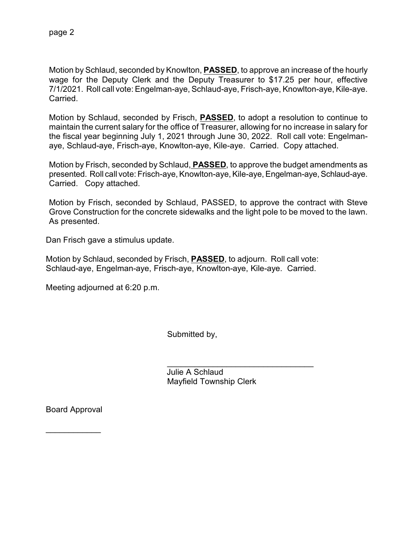Motion by Schlaud, seconded by Knowlton, **PASSED**, to approve an increase of the hourly wage for the Deputy Clerk and the Deputy Treasurer to \$17.25 per hour, effective 7/1/2021. Roll call vote: Engelman-aye, Schlaud-aye, Frisch-aye, Knowlton-aye, Kile-aye. Carried.

Motion by Schlaud, seconded by Frisch, **PASSED**, to adopt a resolution to continue to maintain the current salary for the office of Treasurer, allowing for no increase in salary for the fiscal year beginning July 1, 2021 through June 30, 2022. Roll call vote: Engelmanaye, Schlaud-aye, Frisch-aye, Knowlton-aye, Kile-aye. Carried. Copy attached.

Motion by Frisch, seconded by Schlaud, **PASSED**, to approve the budget amendments as presented. Roll call vote: Frisch-aye, Knowlton-aye, Kile-aye, Engelman-aye, Schlaud-aye. Carried. Copy attached.

Motion by Frisch, seconded by Schlaud, PASSED, to approve the contract with Steve Grove Construction for the concrete sidewalks and the light pole to be moved to the lawn. As presented.

Dan Frisch gave a stimulus update.

Motion by Schlaud, seconded by Frisch, **PASSED**, to adjourn. Roll call vote: Schlaud-aye, Engelman-aye, Frisch-aye, Knowlton-aye, Kile-aye. Carried.

Meeting adjourned at 6:20 p.m.

Submitted by,

 $\overline{\phantom{a}}$ 

 Julie A Schlaud Mayfield Township Clerk

Board Approval

 $\overline{\phantom{a}}$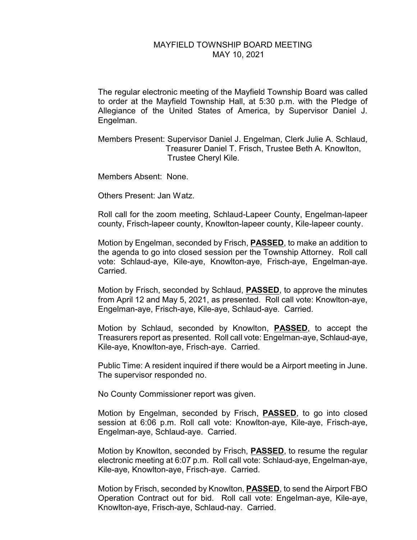## MAYFIELD TOWNSHIP BOARD MEETING MAY 10, 2021

The regular electronic meeting of the Mayfield Township Board was called to order at the Mayfield Township Hall, at 5:30 p.m. with the Pledge of Allegiance of the United States of America, by Supervisor Daniel J. Engelman.

Members Present: Supervisor Daniel J. Engelman, Clerk Julie A. Schlaud, Treasurer Daniel T. Frisch, Trustee Beth A. Knowlton, Trustee Cheryl Kile.

Members Absent: None.

Others Present: Jan Watz.

Roll call for the zoom meeting, Schlaud-Lapeer County, Engelman-lapeer county, Frisch-lapeer county, Knowlton-lapeer county, Kile-lapeer county.

Motion by Engelman, seconded by Frisch, **PASSED**, to make an addition to the agenda to go into closed session per the Township Attorney. Roll call vote: Schlaud-aye, Kile-aye, Knowlton-aye, Frisch-aye, Engelman-aye. Carried.

Motion by Frisch, seconded by Schlaud, **PASSED**, to approve the minutes from April 12 and May 5, 2021, as presented. Roll call vote: Knowlton-aye, Engelman-aye, Frisch-aye, Kile-aye, Schlaud-aye. Carried.

Motion by Schlaud, seconded by Knowlton, **PASSED**, to accept the Treasurers report as presented. Roll call vote: Engelman-aye, Schlaud-aye, Kile-aye, Knowlton-aye, Frisch-aye. Carried.

Public Time: A resident inquired if there would be a Airport meeting in June. The supervisor responded no.

No County Commissioner report was given.

Motion by Engelman, seconded by Frisch, **PASSED**, to go into closed session at 6:06 p.m. Roll call vote: Knowlton-aye, Kile-aye, Frisch-aye, Engelman-aye, Schlaud-aye. Carried.

Motion by Knowlton, seconded by Frisch, **PASSED**, to resume the regular electronic meeting at 6:07 p.m. Roll call vote: Schlaud-aye, Engelman-aye, Kile-aye, Knowlton-aye, Frisch-aye. Carried.

Motion by Frisch, seconded by Knowlton, **PASSED**, to send the Airport FBO Operation Contract out for bid. Roll call vote: Engelman-aye, Kile-aye, Knowlton-aye, Frisch-aye, Schlaud-nay. Carried.